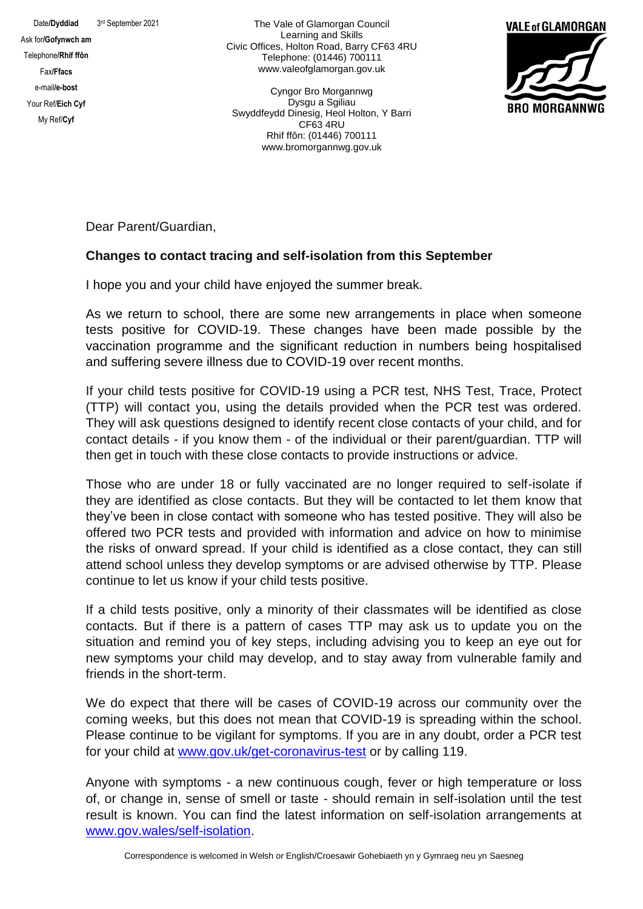3rd September 2021

Ask for**/Gofynwch am** Telephone**/Rhif ffôn** Fax**/Ffacs** e-mail**/e-bost** Your Ref/**Eich Cyf** My Ref/**Cyf**

Date/Dyddiad

The Vale of Glamorgan Council Learning and Skills Civic Offices, Holton Road, Barry CF63 4RU Telephone: (01446) 700111 www.valeofglamorgan.gov.uk

Cyngor Bro Morgannwg Dysgu a Sgiliau Swyddfeydd Dinesig, Heol Holton, Y Barri CF63 4RU Rhif ffôn: (01446) 700111 www.bromorgannwg.gov.uk



Dear Parent/Guardian,

## **Changes to contact tracing and self-isolation from this September**

I hope you and your child have enjoyed the summer break.

As we return to school, there are some new arrangements in place when someone tests positive for COVID-19. These changes have been made possible by the vaccination programme and the significant reduction in numbers being hospitalised and suffering severe illness due to COVID-19 over recent months.

If your child tests positive for COVID-19 using a PCR test, NHS Test, Trace, Protect (TTP) will contact you, using the details provided when the PCR test was ordered. They will ask questions designed to identify recent close contacts of your child, and for contact details - if you know them - of the individual or their parent/guardian. TTP will then get in touch with these close contacts to provide instructions or advice.

Those who are under 18 or fully vaccinated are no longer required to self-isolate if they are identified as close contacts. But they will be contacted to let them know that they've been in close contact with someone who has tested positive. They will also be offered two PCR tests and provided with information and advice on how to minimise the risks of onward spread. If your child is identified as a close contact, they can still attend school unless they develop symptoms or are advised otherwise by TTP. Please continue to let us know if your child tests positive.

If a child tests positive, only a minority of their classmates will be identified as close contacts. But if there is a pattern of cases TTP may ask us to update you on the situation and remind you of key steps, including advising you to keep an eye out for new symptoms your child may develop, and to stay away from vulnerable family and friends in the short-term.

We do expect that there will be cases of COVID-19 across our community over the coming weeks, but this does not mean that COVID-19 is spreading within the school. Please continue to be vigilant for symptoms. If you are in any doubt, order a PCR test for your child at [www.gov.uk/get-coronavirus-test](http://www.gov.uk/getcoronavirustest) or by calling 119.

Anyone with symptoms - a new continuous cough, fever or high temperature or loss of, or change in, sense of smell or taste - should remain in self-isolation until the test result is known. You can find the latest information on self-isolation arrangements at [www.gov.wales/self-isolation.](http://www.gov.wales/selfisolation)